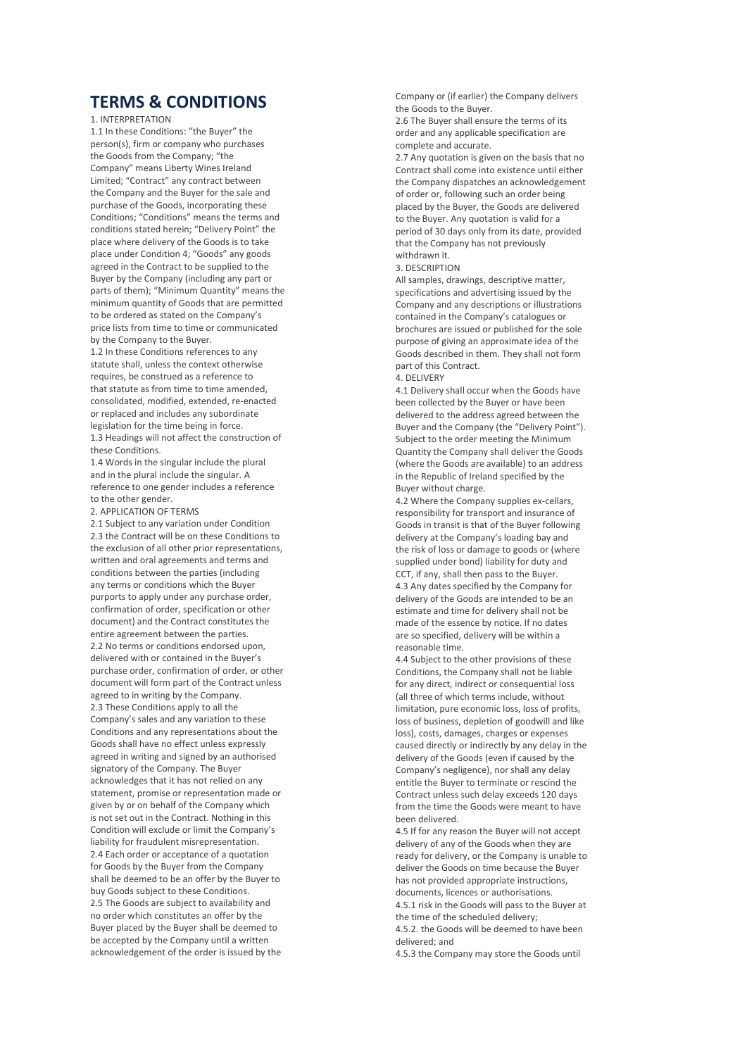# TERMS & CONDITIONS

1. INTERPRETATION

1.1 In these Conditions: "the Buyer" the person(s), firm or company who purchases the Goods from the Company; "the Company" means Liberty Wines Ireland Limited; "Contract" any contract between the Company and the Buyer for the sale and purchase of the Goods, incorporating these Conditions; "Conditions" means the terms and conditions stated herein; "Delivery Point" the place where delivery of the Goods is to take place under Condition 4; "Goods" any goods agreed in the Contract to be supplied to the Buyer by the Company (including any part or parts of them); "Minimum Quantity" means the minimum quantity of Goods that are permitted to be ordered as stated on the Company's price lists from time to time or communicated by the Company to the Buyer.

1.2 In these Conditions references to any statute shall, unless the context otherwise requires, be construed as a reference to that statute as from time to time amended, consolidated, modified, extended, re-enacted or replaced and includes any subordinate legislation for the time being in force. 1.3 Headings will not affect the construction of these Conditions.

1.4 Words in the singular include the plural and in the plural include the singular. A reference to one gender includes a reference to the other gender.

2. APPLICATION OF TERMS

2.1 Subject to any variation under Condition 2.3 the Contract will be on these Conditions to the exclusion of all other prior representations, written and oral agreements and terms and conditions between the parties (including any terms or conditions which the Buyer purports to apply under any purchase order, confirmation of order, specification or other document) and the Contract constitutes the entire agreement between the parties. 2.2 No terms or conditions endorsed upon, delivered with or contained in the Buyer's purchase order, confirmation of order, or other document will form part of the Contract unless agreed to in writing by the Company. 2.3 These Conditions apply to all the Company's sales and any variation to these Conditions and any representations about the Goods shall have no effect unless expressly agreed in writing and signed by an authorised signatory of the Company. The Buyer acknowledges that it has not relied on any statement, promise or representation made or given by or on behalf of the Company which is not set out in the Contract. Nothing in this Condition will exclude or limit the Company's liability for fraudulent misrepresentation. 2.4 Each order or acceptance of a quotation for Goods by the Buyer from the Company shall be deemed to be an offer by the Buyer to buy Goods subject to these Conditions. 2.5 The Goods are subject to availability and no order which constitutes an offer by the Buyer placed by the Buyer shall be deemed to be accepted by the Company until a written acknowledgement of the order is issued by the

Company or (if earlier) the Company delivers the Goods to the Buyer.

2.6 The Buyer shall ensure the terms of its order and any applicable specification are complete and accurate.

2.7 Any quotation is given on the basis that no Contract shall come into existence until either the Company dispatches an acknowledgement of order or, following such an order being placed by the Buyer, the Goods are delivered to the Buyer. Any quotation is valid for a period of 30 days only from its date, provided that the Company has not previously withdrawn it.

# 3. DESCRIPTION

All samples, drawings, descriptive matter, specifications and advertising issued by the Company and any descriptions or illustrations contained in the Company's catalogues or brochures are issued or published for the sole purpose of giving an approximate idea of the Goods described in them. They shall not form part of this Contract.

### 4. DELIVERY

4.1 Delivery shall occur when the Goods have been collected by the Buyer or have been delivered to the address agreed between the Buyer and the Company (the "Delivery Point"). Subject to the order meeting the Minimum Quantity the Company shall deliver the Goods (where the Goods are available) to an address in the Republic of Ireland specified by the Buyer without charge.

4.2 Where the Company supplies ex-cellars, responsibility for transport and insurance of Goods in transit is that of the Buyer following delivery at the Company's loading bay and the risk of loss or damage to goods or (where supplied under bond) liability for duty and CCT, if any, shall then pass to the Buyer.

4.3 Any dates specified by the Company for delivery of the Goods are intended to be an estimate and time for delivery shall not be made of the essence by notice. If no dates are so specified, delivery will be within a reasonable time.

4.4 Subject to the other provisions of these Conditions, the Company shall not be liable for any direct, indirect or consequential loss (all three of which terms include, without limitation, pure economic loss, loss of profits, loss of business, depletion of goodwill and like loss), costs, damages, charges or expenses caused directly or indirectly by any delay in the delivery of the Goods (even if caused by the Company's negligence), nor shall any delay entitle the Buyer to terminate or rescind the Contract unless such delay exceeds 120 days from the time the Goods were meant to have been delivered.

4.5 If for any reason the Buyer will not accept delivery of any of the Goods when they are ready for delivery, or the Company is unable to deliver the Goods on time because the Buyer has not provided appropriate instructions, documents, licences or authorisations.

4.5.1 risk in the Goods will pass to the Buyer at the time of the scheduled delivery;

4.5.2. the Goods will be deemed to have been delivered; and

4.5.3 the Company may store the Goods until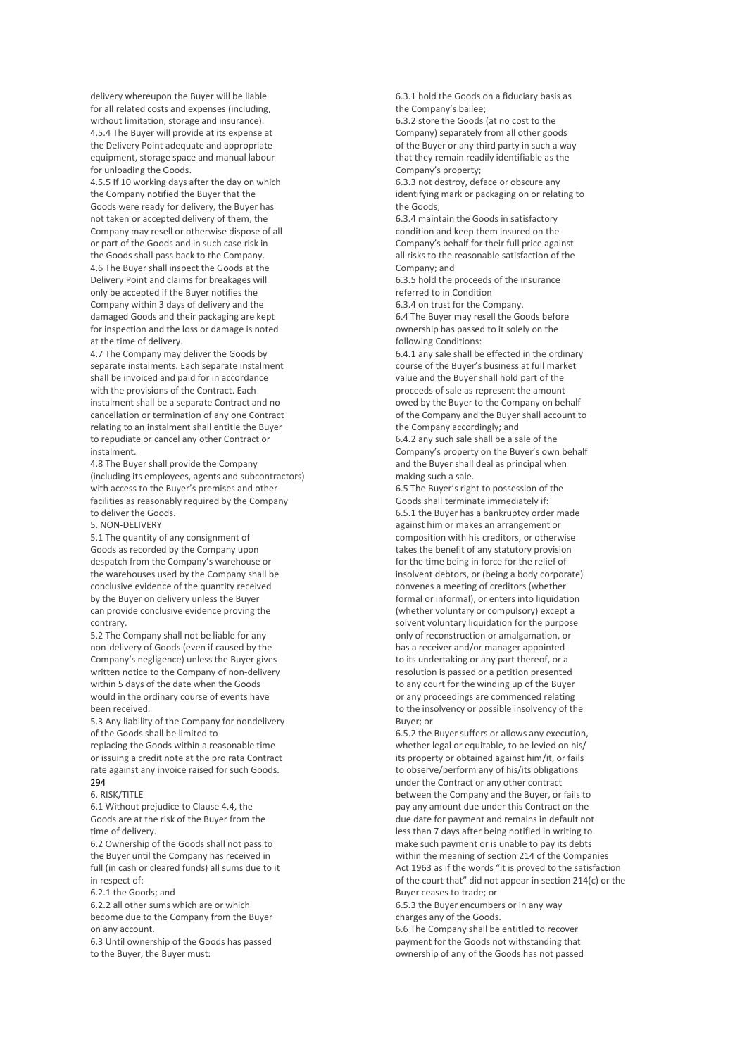delivery whereupon the Buyer will be liable for all related costs and expenses (including, without limitation, storage and insurance). 4.5.4 The Buyer will provide at its expense at the Delivery Point adequate and appropriate equipment, storage space and manual labour for unloading the Goods.

4.5.5 If 10 working days after the day on which the Company notified the Buyer that the Goods were ready for delivery, the Buyer has not taken or accepted delivery of them, the Company may resell or otherwise dispose of all or part of the Goods and in such case risk in the Goods shall pass back to the Company. 4.6 The Buyer shall inspect the Goods at the Delivery Point and claims for breakages will only be accepted if the Buyer notifies the Company within 3 days of delivery and the damaged Goods and their packaging are kept for inspection and the loss or damage is noted at the time of delivery.

4.7 The Company may deliver the Goods by separate instalments. Each separate instalment shall be invoiced and paid for in accordance with the provisions of the Contract. Each instalment shall be a separate Contract and no cancellation or termination of any one Contract relating to an instalment shall entitle the Buyer to repudiate or cancel any other Contract or instalment.

4.8 The Buyer shall provide the Company (including its employees, agents and subcontractors) with access to the Buyer's premises and other facilities as reasonably required by the Company to deliver the Goods.

5. NON-DELIVERY

5.1 The quantity of any consignment of Goods as recorded by the Company upon despatch from the Company's warehouse or the warehouses used by the Company shall be conclusive evidence of the quantity received by the Buyer on delivery unless the Buyer can provide conclusive evidence proving the contrary.

5.2 The Company shall not be liable for any non-delivery of Goods (even if caused by the Company's negligence) unless the Buyer gives written notice to the Company of non-delivery within 5 days of the date when the Goods would in the ordinary course of events have been received.

5.3 Any liability of the Company for nondelivery of the Goods shall be limited to replacing the Goods within a reasonable time or issuing a credit note at the pro rata Contract rate against any invoice raised for such Goods. 294

# 6. RISK/TITLE

6.1 Without prejudice to Clause 4.4, the Goods are at the risk of the Buyer from the time of delivery.

6.2 Ownership of the Goods shall not pass to the Buyer until the Company has received in full (in cash or cleared funds) all sums due to it in respect of:

6.2.1 the Goods; and

6.2.2 all other sums which are or which become due to the Company from the Buyer on any account.

6.3 Until ownership of the Goods has passed to the Buyer, the Buyer must:

6.3.1 hold the Goods on a fiduciary basis as the Company's bailee;

6.3.2 store the Goods (at no cost to the Company) separately from all other goods of the Buyer or any third party in such a way that they remain readily identifiable as the Company's property;

6.3.3 not destroy, deface or obscure any identifying mark or packaging on or relating to the Goods;

6.3.4 maintain the Goods in satisfactory condition and keep them insured on the Company's behalf for their full price against all risks to the reasonable satisfaction of the Company; and

6.3.5 hold the proceeds of the insurance referred to in Condition

6.3.4 on trust for the Company.

6.4 The Buyer may resell the Goods before ownership has passed to it solely on the following Conditions:

6.4.1 any sale shall be effected in the ordinary course of the Buyer's business at full market value and the Buyer shall hold part of the proceeds of sale as represent the amount owed by the Buyer to the Company on behalf of the Company and the Buyer shall account to the Company accordingly; and

6.4.2 any such sale shall be a sale of the Company's property on the Buyer's own behalf and the Buyer shall deal as principal when making such a sale.

6.5 The Buyer's right to possession of the Goods shall terminate immediately if:

6.5.1 the Buyer has a bankruptcy order made against him or makes an arrangement or composition with his creditors, or otherwise takes the benefit of any statutory provision for the time being in force for the relief of insolvent debtors, or (being a body corporate) convenes a meeting of creditors (whether formal or informal), or enters into liquidation (whether voluntary or compulsory) except a solvent voluntary liquidation for the purpose only of reconstruction or amalgamation, or has a receiver and/or manager appointed to its undertaking or any part thereof, or a resolution is passed or a petition presented to any court for the winding up of the Buyer or any proceedings are commenced relating to the insolvency or possible insolvency of the Buyer; or

6.5.2 the Buyer suffers or allows any execution, whether legal or equitable, to be levied on his/ its property or obtained against him/it, or fails to observe/perform any of his/its obligations under the Contract or any other contract between the Company and the Buyer, or fails to pay any amount due under this Contract on the due date for payment and remains in default not less than 7 days after being notified in writing to make such payment or is unable to pay its debts within the meaning of section 214 of the Companies Act 1963 as if the words "it is proved to the satisfaction of the court that" did not appear in section 214(c) or the Buyer ceases to trade; or

6.5.3 the Buyer encumbers or in any way charges any of the Goods.

6.6 The Company shall be entitled to recover payment for the Goods not withstanding that ownership of any of the Goods has not passed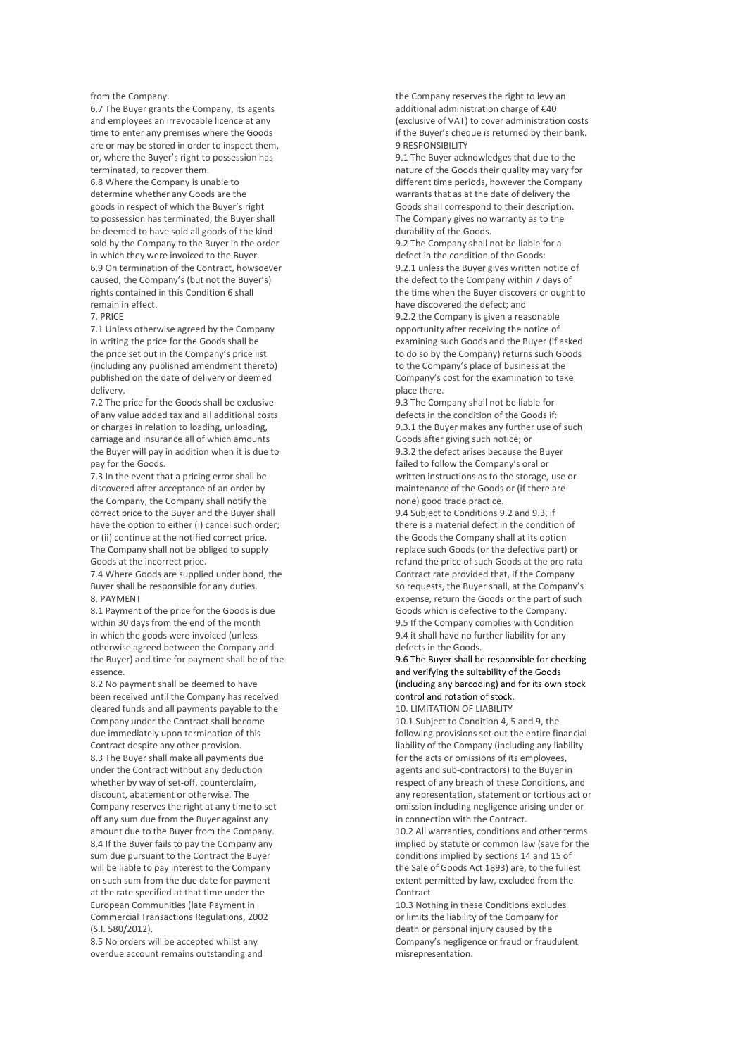### from the Company.

6.7 The Buyer grants the Company, its agents and employees an irrevocable licence at any time to enter any premises where the Goods are or may be stored in order to inspect them, or, where the Buyer's right to possession has terminated, to recover them.

6.8 Where the Company is unable to determine whether any Goods are the goods in respect of which the Buyer's right to possession has terminated, the Buyer shall be deemed to have sold all goods of the kind sold by the Company to the Buyer in the order in which they were invoiced to the Buyer. 6.9 On termination of the Contract, howsoever caused, the Company's (but not the Buyer's) rights contained in this Condition 6 shall remain in effect.

7. PRICE

7.1 Unless otherwise agreed by the Company in writing the price for the Goods shall be the price set out in the Company's price list (including any published amendment thereto) published on the date of delivery or deemed delivery.

7.2 The price for the Goods shall be exclusive of any value added tax and all additional costs or charges in relation to loading, unloading, carriage and insurance all of which amounts the Buyer will pay in addition when it is due to pay for the Goods.

7.3 In the event that a pricing error shall be discovered after acceptance of an order by the Company, the Company shall notify the correct price to the Buyer and the Buyer shall have the option to either (i) cancel such order; or (ii) continue at the notified correct price. The Company shall not be obliged to supply Goods at the incorrect price.

7.4 Where Goods are supplied under bond, the Buyer shall be responsible for any duties. 8. PAYMENT

8.1 Payment of the price for the Goods is due within 30 days from the end of the month in which the goods were invoiced (unless otherwise agreed between the Company and the Buyer) and time for payment shall be of the essence.

8.2 No payment shall be deemed to have been received until the Company has received cleared funds and all payments payable to the Company under the Contract shall become due immediately upon termination of this Contract despite any other provision. 8.3 The Buyer shall make all payments due under the Contract without any deduction whether by way of set-off, counterclaim, discount, abatement or otherwise. The Company reserves the right at any time to set off any sum due from the Buyer against any amount due to the Buyer from the Company. 8.4 If the Buyer fails to pay the Company any sum due pursuant to the Contract the Buyer will be liable to pay interest to the Company on such sum from the due date for payment at the rate specified at that time under the European Communities (late Payment in Commercial Transactions Regulations, 2002 (S.I. 580/2012).

8.5 No orders will be accepted whilst any overdue account remains outstanding and the Company reserves the right to levy an additional administration charge of €40 (exclusive of VAT) to cover administration costs if the Buyer's cheque is returned by their bank. 9 RESPONSIBILITY

9.1 The Buyer acknowledges that due to the nature of the Goods their quality may vary for different time periods, however the Company warrants that as at the date of delivery the Goods shall correspond to their description. The Company gives no warranty as to the durability of the Goods.

9.2 The Company shall not be liable for a defect in the condition of the Goods: 9.2.1 unless the Buyer gives written notice of the defect to the Company within 7 days of the time when the Buyer discovers or ought to have discovered the defect; and

9.2.2 the Company is given a reasonable opportunity after receiving the notice of examining such Goods and the Buyer (if asked to do so by the Company) returns such Goods to the Company's place of business at the Company's cost for the examination to take place there.

9.3 The Company shall not be liable for defects in the condition of the Goods if: 9.3.1 the Buyer makes any further use of such Goods after giving such notice; or 9.3.2 the defect arises because the Buyer failed to follow the Company's oral or written instructions as to the storage, use or maintenance of the Goods or (if there are none) good trade practice.

9.4 Subject to Conditions 9.2 and 9.3, if there is a material defect in the condition of the Goods the Company shall at its option replace such Goods (or the defective part) or refund the price of such Goods at the pro rata Contract rate provided that, if the Company so requests, the Buyer shall, at the Company's expense, return the Goods or the part of such Goods which is defective to the Company. 9.5 If the Company complies with Condition

9.4 it shall have no further liability for any defects in the Goods.

9.6 The Buyer shall be responsible for checking and verifying the suitability of the Goods (including any barcoding) and for its own stock control and rotation of stock.

10. LIMITATION OF LIABILITY

10.1 Subject to Condition 4, 5 and 9, the following provisions set out the entire financial liability of the Company (including any liability for the acts or omissions of its employees, agents and sub-contractors) to the Buyer in respect of any breach of these Conditions, and any representation, statement or tortious act or omission including negligence arising under or in connection with the Contract.

10.2 All warranties, conditions and other terms implied by statute or common law (save for the conditions implied by sections 14 and 15 of the Sale of Goods Act 1893) are, to the fullest extent permitted by law, excluded from the Contract.

10.3 Nothing in these Conditions excludes or limits the liability of the Company for death or personal injury caused by the Company's negligence or fraud or fraudulent misrepresentation.